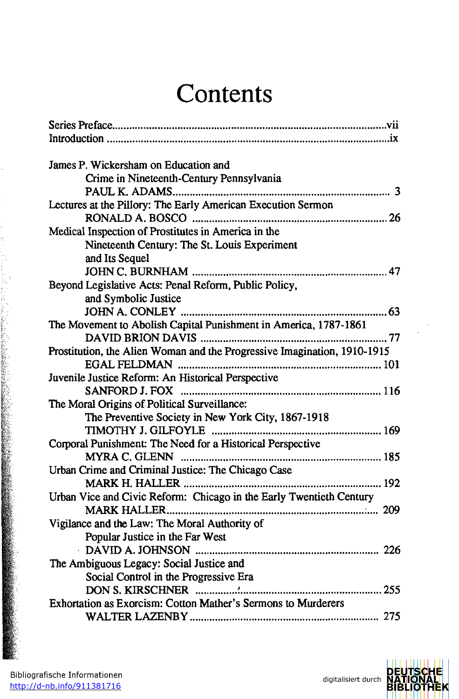## **Contents**

| James P. Wickersham on Education and                                     |
|--------------------------------------------------------------------------|
| Crime in Nineteenth-Century Pennsylvania                                 |
|                                                                          |
| Lectures at the Pillory: The Early American Execution Sermon             |
|                                                                          |
| Medical Inspection of Prostitutes in America in the                      |
| Nineteenth Century: The St. Louis Experiment                             |
| and Its Sequel                                                           |
|                                                                          |
| Beyond Legislative Acts: Penal Reform, Public Policy,                    |
| and Symbolic Justice                                                     |
|                                                                          |
| The Movement to Abolish Capital Punishment in America, 1787-1861         |
|                                                                          |
| Prostitution, the Alien Woman and the Progressive Imagination, 1910-1915 |
|                                                                          |
| Juvenile Justice Reform: An Historical Perspective                       |
|                                                                          |
| The Moral Origins of Political Surveillance:                             |
| The Preventive Society in New York City, 1867-1918                       |
|                                                                          |
| Corporal Punishment: The Need for a Historical Perspective               |
|                                                                          |
| Urban Crime and Criminal Justice: The Chicago Case                       |
|                                                                          |
| Urban Vice and Civic Reform: Chicago in the Early Twentieth Century      |
|                                                                          |
| Vigilance and the Law: The Moral Authority of                            |
| Popular Justice in the Far West                                          |
|                                                                          |
| The Ambiguous Legacy: Social Justice and                                 |
| Social Control in the Progressive Era                                    |
|                                                                          |
| Exhortation as Exorcism: Cotton Mather's Sermons to Murderers            |
|                                                                          |